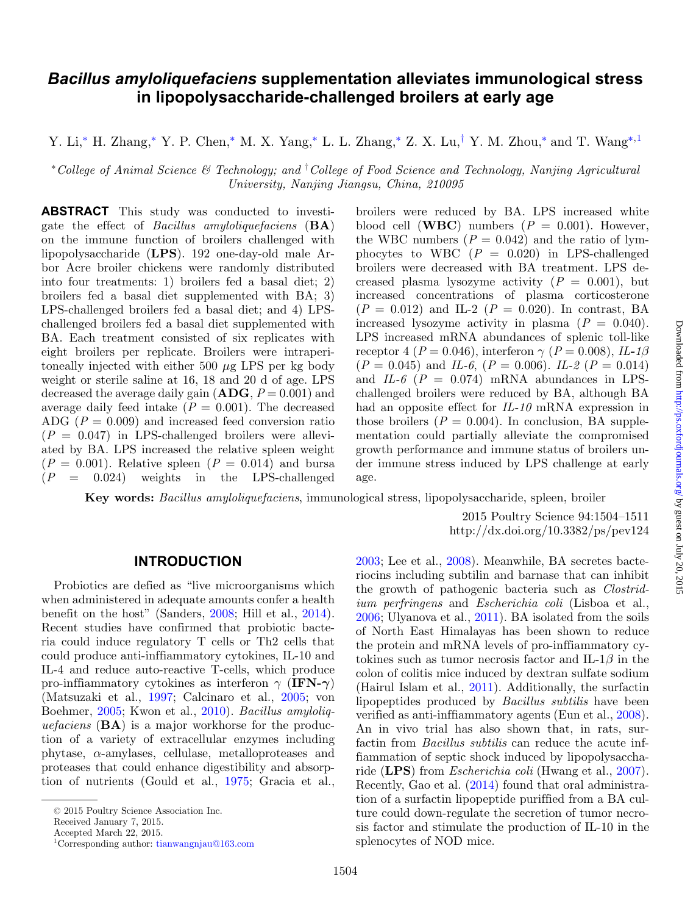# *Bacillus amyloliquefaciens* **supplementation alleviates immunological stress in lipopolysaccharide-challenged broilers at early age**

Y. Li,[∗](#page-0-0) H. Zhang,[∗](#page-0-0) Y. P. Chen,[∗](#page-0-0) M. X. Yang,[∗](#page-0-0) L. L. Zhang,[∗](#page-0-0) Z. X. Lu,[†](#page-0-1) Y. M. Zhou,[∗](#page-0-0) and T. Wang[∗](#page-0-0)[,1](#page-0-2)

<span id="page-0-0"></span><sup>∗</sup>*College of Animal Science & Technology; and* † *College of Food Science and Technology, Nanjing Agricultural University, Nanjing Jiangsu, China, 210095*

**ABSTRACT** This study was conducted to investigate the effect of *Bacillus amyloliquefaciens* (**BA**) on the immune function of broilers challenged with lipopolysaccharide (**LPS**). 192 one-day-old male Arbor Acre broiler chickens were randomly distributed into four treatments: 1) broilers fed a basal diet; 2) broilers fed a basal diet supplemented with BA; 3) LPS-challenged broilers fed a basal diet; and 4) LPSchallenged broilers fed a basal diet supplemented with BA. Each treatment consisted of six replicates with eight broilers per replicate. Broilers were intraperitoneally injected with either 500  $\mu$ g LPS per kg body weight or sterile saline at 16, 18 and 20 d of age. LPS decreased the average daily gain  $(ABC, P = 0.001)$  and average daily feed intake  $(P = 0.001)$ . The decreased ADG  $(P = 0.009)$  and increased feed conversion ratio  $(P = 0.047)$  in LPS-challenged broilers were alleviated by BA. LPS increased the relative spleen weight  $(P = 0.001)$ . Relative spleen  $(P = 0.014)$  and bursa  $(P = 0.024)$  weights in the LPS-challenged weights in the LPS-challenged

<span id="page-0-1"></span>broilers were reduced by BA. LPS increased white blood cell (**WBC**) numbers  $(P = 0.001)$ . However, the WBC numbers  $(P = 0.042)$  and the ratio of lymphocytes to WBC  $(P = 0.020)$  in LPS-challenged broilers were decreased with BA treatment. LPS decreased plasma lysozyme activity  $(P = 0.001)$ , but increased concentrations of plasma corticosterone  $(P = 0.012)$  and IL-2  $(P = 0.020)$ . In contrast, BA increased lysozyme activity in plasma  $(P = 0.040)$ . LPS increased mRNA abundances of splenic toll-like receptor 4 ( $P = 0.046$ ), interferon  $\gamma$  ( $P = 0.008$ ), *IL-1* $\beta$  $(P = 0.045)$  and *IL-6*,  $(P = 0.006)$ . *IL-2*  $(P = 0.014)$ and  $IL-6$  ( $P = 0.074$ ) mRNA abundances in LPSchallenged broilers were reduced by BA, although BA had an opposite effect for *IL-10* mRNA expression in those broilers  $(P = 0.004)$ . In conclusion, BA supplementation could partially alleviate the compromised growth performance and immune status of broilers under immune stress induced by LPS challenge at early age.

**Key words:** *Bacillus amyloliquefaciens*, immunological stress, lipopolysaccharide, spleen, broiler

2015 Poultry Science 94:1504–1511 http://dx.doi.org/10.3382/ps/pev124

#### **INTRODUCTION**

Probiotics are defied as "live microorganisms which when administered in adequate amounts confer a health benefit on the host" (Sanders, [2008;](#page-6-0) Hill et al., [2014\)](#page-6-1). Recent studies have confirmed that probiotic bacteria could induce regulatory T cells or Th2 cells that could produce anti-inffiammatory cytokines, IL-10 and IL-4 and reduce auto-reactive T-cells, which produce pro-inffiammatory cytokines as interferon γ (**IFN-***γ*) (Matsuzaki et al., [1997;](#page-6-2) Calcinaro et al., [2005;](#page-6-3) von Boehmer, [2005;](#page-7-0) Kwon et al., [2010\)](#page-6-4). *Bacillus amyloliquefaciens* (**BA**) is a major workhorse for the production of a variety of extracellular enzymes including phytase,  $\alpha$ -amylases, cellulase, metalloproteases and proteases that could enhance digestibility and absorption of nutrients (Gould et al., [1975;](#page-6-5) Gracia et al.,

Received January 7, 2015.

<span id="page-0-2"></span>Accepted March 22, 2015.

[2003;](#page-6-6) Lee et al., [2008\)](#page-6-7). Meanwhile, BA secretes bacteriocins including subtilin and barnase that can inhibit the growth of pathogenic bacteria such as *Clostridium perfringens* and *Escherichia coli* (Lisboa et al., [2006;](#page-6-8) Ulyanova et al., [2011\)](#page-6-9). BA isolated from the soils of North East Himalayas has been shown to reduce the protein and mRNA levels of pro-inffiammatory cytokines such as tumor necrosis factor and IL-1 $\beta$  in the colon of colitis mice induced by dextran sulfate sodium (Hairul Islam et al., [2011\)](#page-6-10). Additionally, the surfactin lipopeptides produced by *Bacillus subtilis* have been verified as anti-inffiammatory agents (Eun et al., [2008\)](#page-6-11). An in vivo trial has also shown that, in rats, surfactin from *Bacillus subtilis* can reduce the acute inffiammation of septic shock induced by lipopolysaccharide (**LPS**) from *Escherichia coli* (Hwang et al., [2007\)](#page-6-12). Recently, Gao et al. [\(2014\)](#page-6-13) found that oral administration of a surfactin lipopeptide puriffied from a BA culture could down-regulate the secretion of tumor necrosis factor and stimulate the production of IL-10 in the splenocytes of NOD mice.

<sup>© 2015</sup> Poultry Science Association Inc.

<sup>1</sup>Corresponding author: [tianwangnjau@163.com](mailto:tianwangnjau@163.com)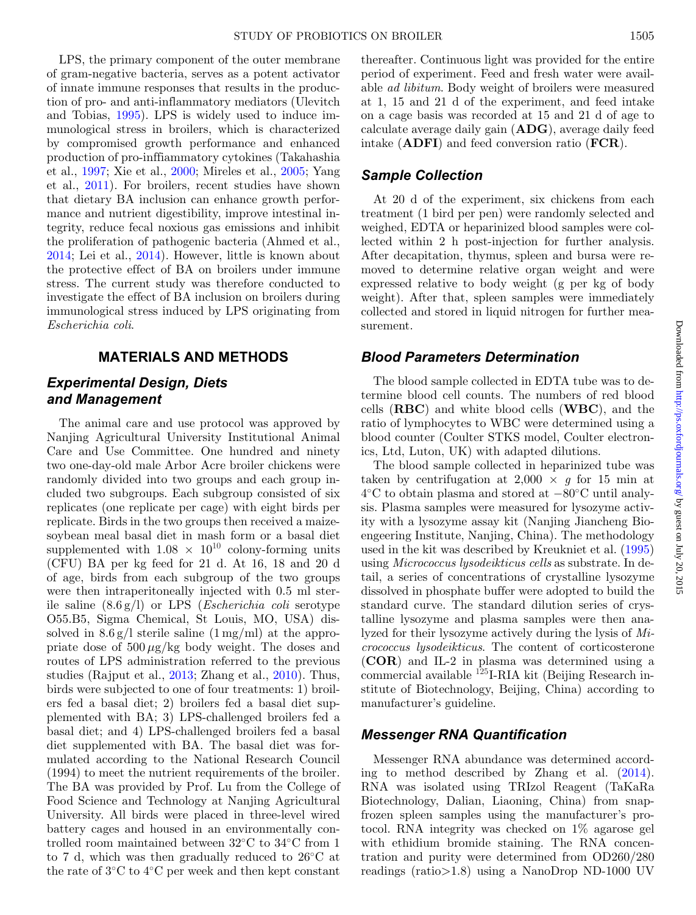LPS, the primary component of the outer membrane of gram-negative bacteria, serves as a potent activator of innate immune responses that results in the production of pro- and anti-inflammatory mediators (Ulevitch and Tobias, [1995\)](#page-6-14). LPS is widely used to induce immunological stress in broilers, which is characterized by compromised growth performance and enhanced production of pro-inffiammatory cytokines (Takahashia et al., [1997;](#page-6-15) Xie et al., [2000;](#page-7-1) Mireles et al., [2005;](#page-6-16) Yang et al., [2011\)](#page-7-2). For broilers, recent studies have shown that dietary BA inclusion can enhance growth performance and nutrient digestibility, improve intestinal integrity, reduce fecal noxious gas emissions and inhibit the proliferation of pathogenic bacteria (Ahmed et al., [2014;](#page-5-0) Lei et al., [2014\)](#page-6-17). However, little is known about the protective effect of BA on broilers under immune stress. The current study was therefore conducted to investigate the effect of BA inclusion on broilers during immunological stress induced by LPS originating from *Escherichia coli*.

## **MATERIALS AND METHODS**

## *Experimental Design, Diets and Management*

The animal care and use protocol was approved by Nanjing Agricultural University Institutional Animal Care and Use Committee. One hundred and ninety two one-day-old male Arbor Acre broiler chickens were randomly divided into two groups and each group included two subgroups. Each subgroup consisted of six replicates (one replicate per cage) with eight birds per replicate. Birds in the two groups then received a maizesoybean meal basal diet in mash form or a basal diet supplemented with  $1.08 \times 10^{10}$  colony-forming units (CFU) BA per kg feed for 21 d. At 16, 18 and 20 d of age, birds from each subgroup of the two groups were then intraperitoneally injected with 0.5 ml sterile saline (8.6 g/l) or LPS (*Escherichia coli* serotype O55.B5, Sigma Chemical, St Louis, MO, USA) dissolved in  $8.6 \text{ g}/\text{l}$  sterile saline  $(1 \text{ mg}/\text{ml})$  at the appropriate dose of  $500 \mu g/kg$  body weight. The doses and routes of LPS administration referred to the previous studies (Rajput et al., [2013;](#page-6-18) Zhang et al., [2010\)](#page-7-3). Thus, birds were subjected to one of four treatments: 1) broilers fed a basal diet; 2) broilers fed a basal diet supplemented with BA; 3) LPS-challenged broilers fed a basal diet; and 4) LPS-challenged broilers fed a basal diet supplemented with BA. The basal diet was formulated according to the National Research Council (1994) to meet the nutrient requirements of the broiler. The BA was provided by Prof. Lu from the College of Food Science and Technology at Nanjing Agricultural University. All birds were placed in three-level wired battery cages and housed in an environmentally controlled room maintained between 32◦C to 34◦C from 1 to 7 d, which was then gradually reduced to 26◦C at the rate of 3◦C to 4◦C per week and then kept constant

thereafter. Continuous light was provided for the entire period of experiment. Feed and fresh water were available *ad libitum*. Body weight of broilers were measured at 1, 15 and 21 d of the experiment, and feed intake on a cage basis was recorded at 15 and 21 d of age to calculate average daily gain (**ADG**), average daily feed intake (**ADFI**) and feed conversion ratio (**FCR**).

## *Sample Collection*

At 20 d of the experiment, six chickens from each treatment (1 bird per pen) were randomly selected and weighed, EDTA or heparinized blood samples were collected within 2 h post-injection for further analysis. After decapitation, thymus, spleen and bursa were removed to determine relative organ weight and were expressed relative to body weight (g per kg of body weight). After that, spleen samples were immediately collected and stored in liquid nitrogen for further measurement.

## *Blood Parameters Determination*

The blood sample collected in EDTA tube was to determine blood cell counts. The numbers of red blood cells (**RBC**) and white blood cells (**WBC**), and the ratio of lymphocytes to WBC were determined using a blood counter (Coulter STKS model, Coulter electronics, Ltd, Luton, UK) with adapted dilutions.

The blood sample collected in heparinized tube was taken by centrifugation at  $2,000 \times g$  for 15 min at 4◦C to obtain plasma and stored at −80◦C until analysis. Plasma samples were measured for lysozyme activity with a lysozyme assay kit (Nanjing Jiancheng Bioengeering Institute, Nanjing, China). The methodology used in the kit was described by Kreukniet et al. [\(1995\)](#page-6-19) using *Micrococcus lysodeikticus cells* as substrate. In detail, a series of concentrations of crystalline lysozyme dissolved in phosphate buffer were adopted to build the standard curve. The standard dilution series of crystalline lysozyme and plasma samples were then analyzed for their lysozyme actively during the lysis of *Micrococcus lysodeikticus*. The content of corticosterone (**COR**) and IL-2 in plasma was determined using a commercial available 125I-RIA kit (Beijing Research institute of Biotechnology, Beijing, China) according to manufacturer's guideline.

#### *Messenger RNA Quantification*

Messenger RNA abundance was determined according to method described by Zhang et al. [\(2014\)](#page-7-4). RNA was isolated using TRIzol Reagent (TaKaRa Biotechnology, Dalian, Liaoning, China) from snapfrozen spleen samples using the manufacturer's protocol. RNA integrity was checked on 1% agarose gel with ethidium bromide staining. The RNA concentration and purity were determined from OD260/280 readings (ratio>1.8) using a NanoDrop ND-1000 UV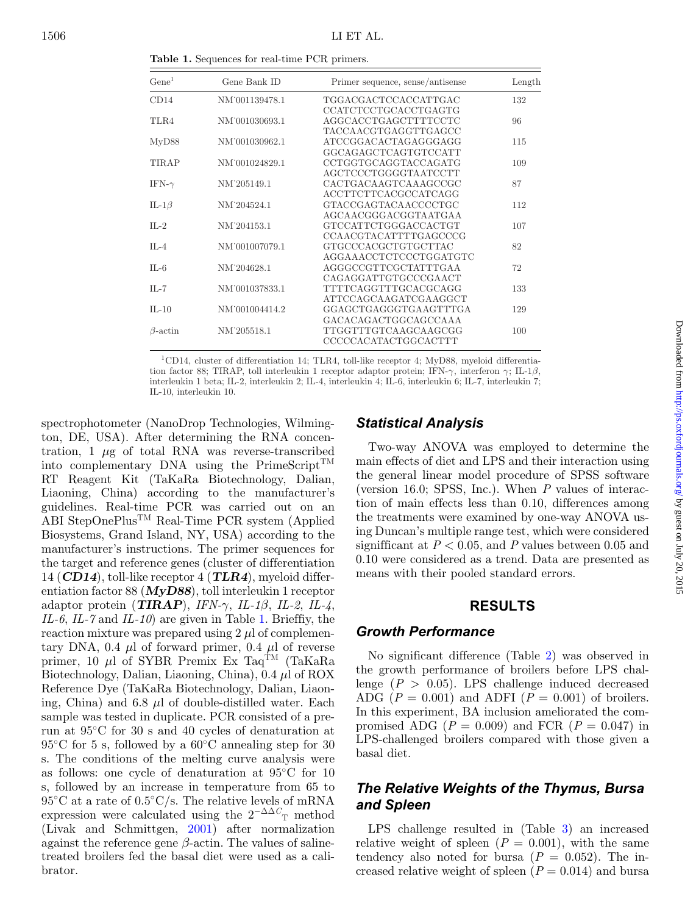<span id="page-2-0"></span>Gene<sup>1</sup> Gene Bank ID Primer sequence, sense/antisense Length CD14 NM˙001139478.1 TGGACGACTCCACCATTGAC 132 CCATCTCCTGCACCTGAGTG TLR4 NM˙001030693.1 AGGCACCTGAGCTTTTCCTC 96 TACCAACGTGAGGTTGAGCC MyD88 NM<sup> $1001030962.1$ </sup> ATCCGGACACTAGAGGGAGG 115 GGCAGAGCTCAGTGTCCATT TIRAP NM<sup>°</sup>001024829.1 CCTGGTGCAGGTACCAGATG 109 AGCTCCCTGGGGTAATCCTT IFN-γ NM˙205149.1 CACTGACAAGTCAAAGCCGC 87 ACCTTCTTCACGCCATCAGG IL-1β NM˙204524.1 GTACCGAGTACAACCCCTGC 112 AGCAACGGGACGGTAATGAA IL-2 NM˙204153.1 GTCCATTCTGGGACCACTGT 107 CCAACGTACATTTTGAGCCCG IL-4 NM˙001007079.1 GTGCCCACGCTGTGCTTAC 82 AGGAAACCTCTCCCTGGATGTC IL-6 NM˙204628.1 AGGGCCGTTCGCTATTTGAA 72 CAGAGGATTGTGCCCGAACT IL-7 NM˙001037833.1 TTTTCAGGTTTGCACGCAGG 133 ATTCCAGCAAGATCGAAGGCT IL-10 NM˙001004414.2 GGAGCTGAGGGTGAAGTTTGA 129 GACACAGACTGGCAGCCAAA β-actin NM˙205518.1 TTGGTTTGTCAAGCAAGCGG 100 CCCCCACATACTGGCACTTT

**Table 1.** Sequences for real-time PCR primers.

1CD14, cluster of differentiation 14; TLR4, toll-like receptor 4; MyD88, myeloid differentiation factor 88; TIRAP, toll interleukin 1 receptor adaptor protein; IFN- $\gamma$ , interferon  $\gamma$ ; IL-1 $\beta$ , interleukin 1 beta; IL-2, interleukin 2; IL-4, interleukin 4; IL-6, interleukin 6; IL-7, interleukin 7; IL-10, interleukin 10.

spectrophotometer (NanoDrop Technologies, Wilmington, DE, USA). After determining the RNA concentration,  $1 \mu$ g of total RNA was reverse-transcribed into complementary DNA using the PrimeScript<sup>TM</sup> RT Reagent Kit (TaKaRa Biotechnology, Dalian, Liaoning, China) according to the manufacturer's guidelines. Real-time PCR was carried out on an ABI StepOnePlusTM Real-Time PCR system (Applied Biosystems, Grand Island, NY, USA) according to the manufacturer's instructions. The primer sequences for the target and reference genes (cluster of differentiation 14 (*CD14*), toll-like receptor 4 (*TLR4*), myeloid differentiation factor 88 (*MyD88*), toll interleukin 1 receptor adaptor protein (*TIRAP*), *IFN-*γ, *IL-1*β, *IL-2*, *IL-4*, *IL-6*, *IL-7* and *IL-10*) are given in Table [1.](#page-2-0) Brieffiy, the reaction mixture was prepared using  $2 \mu$  of complementary DNA, 0.4  $\mu$ l of forward primer, 0.4  $\mu$ l of reverse primer, 10  $\mu$ l of SYBR Premix Ex Taq<sup>TM</sup> (TaKaRa Biotechnology, Dalian, Liaoning, China), 0.4 μl of ROX Reference Dye (TaKaRa Biotechnology, Dalian, Liaoning, China) and 6.8  $\mu$ l of double-distilled water. Each sample was tested in duplicate. PCR consisted of a prerun at 95◦C for 30 s and 40 cycles of denaturation at  $95^{\circ}$ C for 5 s, followed by a  $60^{\circ}$ C annealing step for 30 s. The conditions of the melting curve analysis were as follows: one cycle of denaturation at 95◦C for 10 s, followed by an increase in temperature from 65 to  $95^{\circ}$ C at a rate of  $0.5^{\circ}$ C/s. The relative levels of mRNA expression were calculated using the  $2^{-\Delta\Delta}C$ <sup>T</sup> method (Livak and Schmittgen, [2001\)](#page-6-20) after normalization against the reference gene  $\beta$ -actin. The values of salinetreated broilers fed the basal diet were used as a calibrator.

## *Statistical Analysis*

Two-way ANOVA was employed to determine the main effects of diet and LPS and their interaction using the general linear model procedure of SPSS software (version 16.0; SPSS, Inc.). When *P* values of interaction of main effects less than 0.10, differences among the treatments were examined by one-way ANOVA using Duncan's multiple range test, which were considered signifficant at  $P < 0.05$ , and  $P$  values between 0.05 and 0.10 were considered as a trend. Data are presented as means with their pooled standard errors.

#### **RESULTS**

#### *Growth Performance*

No significant difference (Table [2\)](#page-3-0) was observed in the growth performance of broilers before LPS challenge  $(P > 0.05)$ . LPS challenge induced decreased ADG  $(P = 0.001)$  and ADFI  $(P = 0.001)$  of broilers. In this experiment, BA inclusion ameliorated the compromised ADG  $(P = 0.009)$  and FCR  $(P = 0.047)$  in LPS-challenged broilers compared with those given a basal diet.

## *The Relative Weights of the Thymus, Bursa and Spleen*

LPS challenge resulted in (Table [3\)](#page-3-1) an increased relative weight of spleen  $(P = 0.001)$ , with the same tendency also noted for bursa  $(P = 0.052)$ . The increased relative weight of spleen  $(P = 0.014)$  and bursa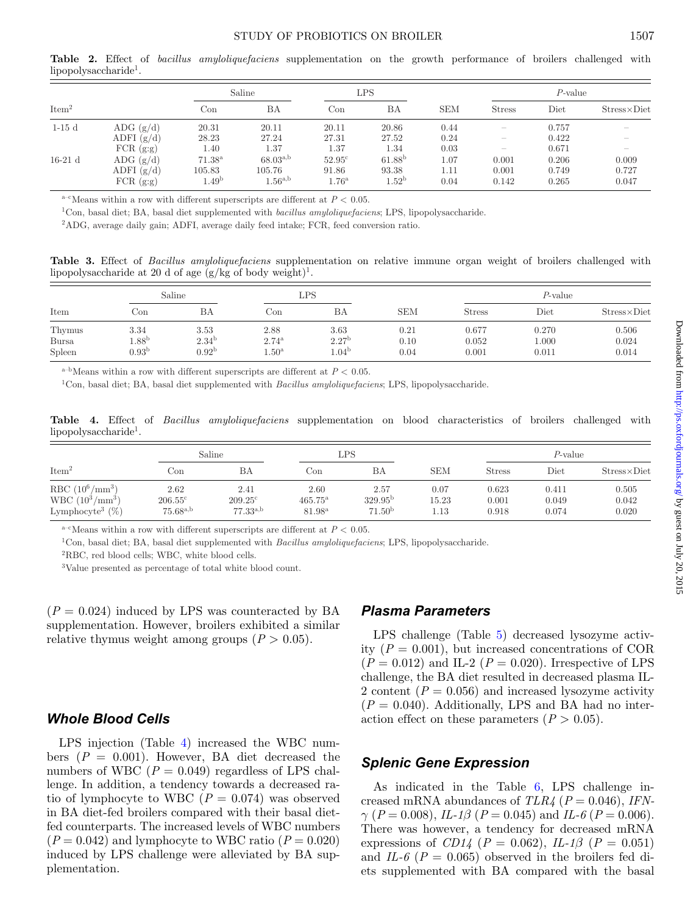#### STUDY OF PROBIOTICS ON BROILER 1507

<span id="page-3-0"></span>**Table 2.** Effect of *bacillus amyloliquefaciens* supplementation on the growth performance of broilers challenged with lipopolysaccharide<sup>1</sup>.

|                   |               | Saline            |               | LPS             |                   |            | $P$ -value               |       |                      |
|-------------------|---------------|-------------------|---------------|-----------------|-------------------|------------|--------------------------|-------|----------------------|
| Item <sup>2</sup> |               | Con               | BA            | Con             | BA                | <b>SEM</b> | <b>Stress</b>            | Diet  | $Stress \times Diet$ |
| $1-15d$           | ADG $(g/d)$   | 20.31             | 20.11         | 20.11           | 20.86             | 0.44       | -                        | 0.757 | $\hspace{0.05cm}$    |
|                   | ADFI $(g/d)$  | 28.23             | 27.24         | 27.31           | 27.52             | 0.24       | $\overline{\phantom{a}}$ | 0.422 |                      |
|                   | $FCR$ $(g:g)$ | 1.40              | 1.37          | 1.37            | 1.34              | 0.03       | -                        | 0.671 |                      |
| $16-21$ d         | ADG $(g/d)$   | $71.38^{\rm a}$   | $68.03^{a,b}$ | $52.95^{\circ}$ | $61.88^{b}$       | 1.07       | 0.001                    | 0.206 | 0.009                |
|                   | ADFI $(g/d)$  | 105.83            | 105.76        | 91.86           | 93.38             | 1.11       | 0.001                    | 0.749 | 0.727                |
|                   | FCR(g:g)      | 1.49 <sup>b</sup> | $1.56^{a,b}$  | $1.76^{\rm a}$  | 1.52 <sup>b</sup> | 0.04       | 0.142                    | 0.265 | 0.047                |

<sup>a–c</sup>Means within a row with different superscripts are different at  $P < 0.05$ .

1Con, basal diet; BA, basal diet supplemented with *bacillus amyloliquefaciens*; LPS, lipopolysaccharide.

2ADG, average daily gain; ADFI, average daily feed intake; FCR, feed conversion ratio.

<span id="page-3-1"></span>**Table 3.** Effect of *Bacillus amyloliquefaciens* supplementation on relative immune organ weight of broilers challenged with lipopolysaccharide at 20 d of age  $(g/kg \text{ of } body \text{ weight})^1$ .

| Item                             | Saline                                   |                                         | LPS                                           |                                    |                      | $P$ -value              |                         |                         |
|----------------------------------|------------------------------------------|-----------------------------------------|-----------------------------------------------|------------------------------------|----------------------|-------------------------|-------------------------|-------------------------|
|                                  | Con                                      | ΒA                                      | $_{\rm{Con}}$                                 | BA                                 | <b>SEM</b>           | <b>Stress</b>           | Diet                    | $Stress \times Diet$    |
| Thymus<br><b>Bursa</b><br>Spleen | 3.34<br>$1.88^{\rm b}$<br>$0.93^{\rm b}$ | 3.53<br>$2.34^{b}$<br>0.92 <sup>b</sup> | 2.88<br>$2.74^{\rm a}$<br>$1.50^{\mathrm{a}}$ | 3.63<br>$2.27^{\rm b}$<br>$1.04^b$ | 0.21<br>0.10<br>0.04 | 0.677<br>0.052<br>0.001 | 0.270<br>000.1<br>0.011 | 0.506<br>0.024<br>0.014 |

<sup>a–b</sup>Means within a row with different superscripts are different at  $P < 0.05$ .

1Con, basal diet; BA, basal diet supplemented with *Bacillus amyloliquefaciens*; LPS, lipopolysaccharide.

<span id="page-3-2"></span>**Table 4.** Effect of *Bacillus amyloliquefaciens* supplementation on blood characteristics of broilers challenged with lipopolysaccharide<sup>1</sup>.

| Item <sup>2</sup>              | Saline           |                  | LPS              |                     |            | $P$ -value    |       |                      |
|--------------------------------|------------------|------------------|------------------|---------------------|------------|---------------|-------|----------------------|
|                                | Con              | ΒA               | Con              | ΒA                  | <b>SEM</b> | <b>Stress</b> | Diet  | $Stress \times Diet$ |
| RBC $(10^6/\text{mm}^3)$       | 2.62             | 2.41             | 2.60             | 2.57                | 0.07       | 0.623         | 0.411 | 0.505                |
| $WBC (10^3/mm^3)$              | $206.55^{\circ}$ | $209.25^{\circ}$ | $465.75^{\rm a}$ | 329.95 <sup>b</sup> | 15.23      | 0.001         | 0.049 | 0.042                |
| Lymphocyte <sup>3</sup> $(\%)$ | $75.68^{a,b}$    | $77.33^{a,b}$    | $81.98^{\rm a}$  | 71.50 <sup>b</sup>  | 1.13       | 0.918         | 0.074 | 0.020                |

<sup>a–c</sup>Means within a row with different superscripts are different at  $P < 0.05$ .

1Con, basal diet; BA, basal diet supplemented with *Bacillus amyloliquefaciens*; LPS, lipopolysaccharide.

2RBC, red blood cells; WBC, white blood cells.

3Value presented as percentage of total white blood count.

 $(P = 0.024)$  induced by LPS was counteracted by BA supplementation. However, broilers exhibited a similar relative thymus weight among groups  $(P > 0.05)$ .

#### *Whole Blood Cells*

LPS injection (Table [4\)](#page-3-2) increased the WBC numbers  $(P = 0.001)$ . However, BA diet decreased the numbers of WBC  $(P = 0.049)$  regardless of LPS challenge. In addition, a tendency towards a decreased ratio of lymphocyte to WBC  $(P = 0.074)$  was observed in BA diet-fed broilers compared with their basal dietfed counterparts. The increased levels of WBC numbers  $(P = 0.042)$  and lymphocyte to WBC ratio  $(P = 0.020)$ induced by LPS challenge were alleviated by BA supplementation.

## *Plasma Parameters*

LPS challenge (Table [5\)](#page-4-0) decreased lysozyme activity  $(P = 0.001)$ , but increased concentrations of COR  $(P = 0.012)$  and IL-2  $(P = 0.020)$ . Irrespective of LPS challenge, the BA diet resulted in decreased plasma IL-2 content  $(P = 0.056)$  and increased lysozyme activity  $(P = 0.040)$ . Additionally, LPS and BA had no interaction effect on these parameters  $(P > 0.05)$ .

### *Splenic Gene Expression*

As indicated in the Table [6,](#page-4-1) LPS challenge increased mRNA abundances of *TLR4* (*P* = 0.046), *IFN-* $\gamma$  (*P* = 0.008), *IL-1β* (*P* = 0.045) and *IL-6* (*P* = 0.006). There was however, a tendency for decreased mRNA expressions of *CD14* ( $P = 0.062$ ), *IL-1β* ( $P = 0.051$ ) and *IL-6* ( $P = 0.065$ ) observed in the broilers fed diets supplemented with BA compared with the basal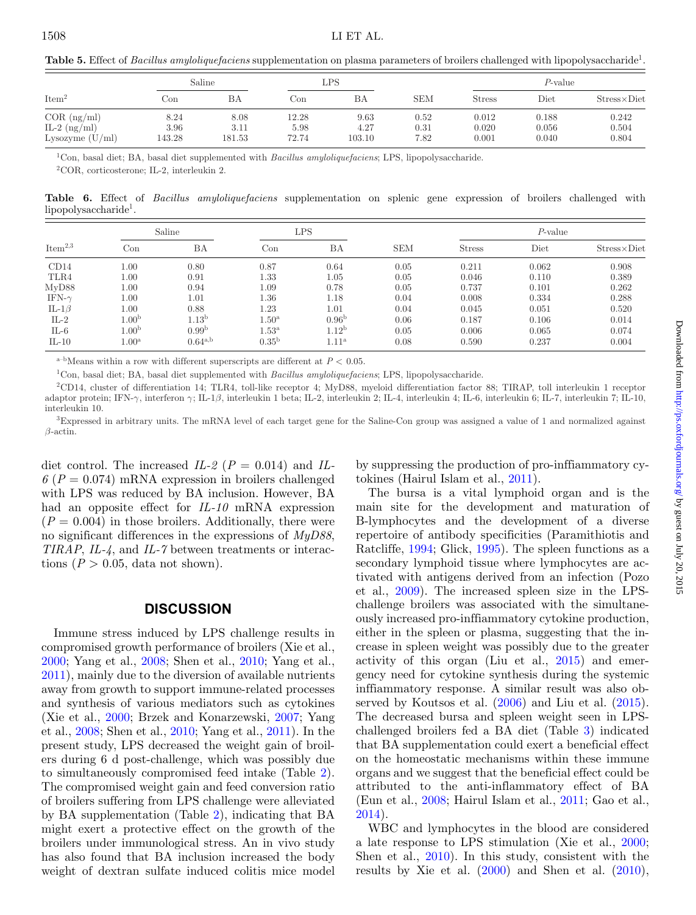<span id="page-4-0"></span>**Table 5.** Effect of *Bacillus amyloliquefaciens* supplementation on plasma parameters of broilers challenged with lipopolysaccharide<sup>1</sup>.

|                   | Saline   |        | LPS   |        |            |               | P-value       |                      |  |
|-------------------|----------|--------|-------|--------|------------|---------------|---------------|----------------------|--|
| Item <sup>2</sup> | Con      | ВA     | Con   | ΒA     | <b>SEM</b> | <b>Stress</b> | $_{\rm Diet}$ | $Stress \times Diet$ |  |
| $COR$ (ng/ml)     | 8.24     | 8.08   | 12.28 | 9.63   | 0.52       | 0.012         | 0.188         | 0.242                |  |
| IL-2 $(ng/ml)$    | $3.96\,$ | 3.11   | 5.98  | 4.27   | 0.31       | 0.020         | 0.056         | 0.504                |  |
| Lysozyme $(U/ml)$ | 143.28   | 181.53 | 72.74 | 103.10 | 7.82       | 0.001         | 0.040         | 0.804                |  |

1Con, basal diet; BA, basal diet supplemented with *Bacillus amyloliquefaciens*; LPS, lipopolysaccharide.

2COR, corticosterone; IL-2, interleukin 2.

<span id="page-4-1"></span>**Table 6.** Effect of *Bacillus amyloliquefaciens* supplementation on splenic gene expression of broilers challenged with lipopolysaccharide1.

| Item <sup>2,3</sup> | Saline            |                   | LPS                 |                   |            | $P$ -value    |       |                      |
|---------------------|-------------------|-------------------|---------------------|-------------------|------------|---------------|-------|----------------------|
|                     | Con               | ΒA                | $_{\rm Con}$        | ΒA                | <b>SEM</b> | <b>Stress</b> | Diet  | $Stress \times Diet$ |
| CD14                | 1.00              | 0.80              | 0.87                | 0.64              | 0.05       | 0.211         | 0.062 | 0.908                |
| TLR4                | $1.00\,$          | 0.91              | 1.33                | 1.05              | 0.05       | 0.046         | 0.110 | 0.389                |
| MvD88               | $1.00\,$          | 0.94              | 1.09                | 0.78              | 0.05       | 0.737         | 0.101 | 0.262                |
| IFN- $\gamma$       | 1.00              | 1.01              | $1.36\,$            | 1.18              | 0.04       | 0.008         | 0.334 | 0.288                |
| IL-1 $\beta$        | 1.00              | 0.88              | 1.23                | 1.01              | 0.04       | 0.045         | 0.051 | 0.520                |
| $IL-2$              | 1.00 <sup>b</sup> | 1.13 <sup>b</sup> | $1.50^{\mathrm{a}}$ | 0.96 <sup>b</sup> | 0.06       | 0.187         | 0.106 | 0.014                |
| $IL-6$              | 1.00 <sup>b</sup> | 0.99 <sup>b</sup> | $1.53^{\mathrm{a}}$ | 1.12 <sup>b</sup> | 0.05       | 0.006         | 0.065 | 0.074                |
| $IL-10$             | 1.00 <sup>a</sup> | $0.64^{a,b}$      | 0.35 <sup>b</sup>   | $1.11^{\rm a}$    | 0.08       | 0.590         | 0.237 | 0.004                |

<sup>a-b</sup>Means within a row with different superscripts are different at  $P < 0.05$ .

1Con, basal diet; BA, basal diet supplemented with *Bacillus amyloliquefaciens*; LPS, lipopolysaccharide.

2CD14, cluster of differentiation 14; TLR4, toll-like receptor 4; MyD88, myeloid differentiation factor 88; TIRAP, toll interleukin 1 receptor adaptor protein; IFN-γ, interferon γ; IL-1β, interleukin 1 beta; IL-2, interleukin 2; IL-4, interleukin 4; IL-6, interleukin 6; IL-7, interleukin 7; IL-10, interleukin 10.

3Expressed in arbitrary units. The mRNA level of each target gene for the Saline-Con group was assigned a value of 1 and normalized against  $\beta$ -actin.

diet control. The increased  $IL-2$  ( $P = 0.014$ ) and  $IL 6(P = 0.074)$  mRNA expression in broilers challenged with LPS was reduced by BA inclusion. However, BA had an opposite effect for *IL-10* mRNA expression  $(P = 0.004)$  in those broilers. Additionally, there were no significant differences in the expressions of *MyD88*, *TIRAP*, *IL-4*, and *IL-7* between treatments or interactions ( $P > 0.05$ , data not shown).

#### **DISCUSSION**

Immune stress induced by LPS challenge results in compromised growth performance of broilers (Xie et al., [2000;](#page-7-1) Yang et al., [2008;](#page-7-5) Shen et al., [2010;](#page-6-21) Yang et al., [2011\)](#page-7-2), mainly due to the diversion of available nutrients away from growth to support immune-related processes and synthesis of various mediators such as cytokines (Xie et al., [2000;](#page-7-1) Brzek and Konarzewski, [2007;](#page-6-22) Yang et al., [2008;](#page-7-5) Shen et al., [2010;](#page-6-21) Yang et al., [2011\)](#page-7-2). In the present study, LPS decreased the weight gain of broilers during 6 d post-challenge, which was possibly due to simultaneously compromised feed intake (Table [2\)](#page-3-0). The compromised weight gain and feed conversion ratio of broilers suffering from LPS challenge were alleviated by BA supplementation (Table [2\)](#page-3-0), indicating that BA might exert a protective effect on the growth of the broilers under immunological stress. An in vivo study has also found that BA inclusion increased the body weight of dextran sulfate induced colitis mice model

by suppressing the production of pro-inffiammatory cytokines (Hairul Islam et al., [2011\)](#page-6-10).

The bursa is a vital lymphoid organ and is the main site for the development and maturation of B-lymphocytes and the development of a diverse repertoire of antibody specificities (Paramithiotis and Ratcliffe, [1994;](#page-6-23) Glick, [1995\)](#page-6-24). The spleen functions as a secondary lymphoid tissue where lymphocytes are activated with antigens derived from an infection (Pozo et al., [2009\)](#page-6-25). The increased spleen size in the LPSchallenge broilers was associated with the simultaneously increased pro-inffiammatory cytokine production, either in the spleen or plasma, suggesting that the increase in spleen weight was possibly due to the greater activity of this organ (Liu et al., [2015\)](#page-6-26) and emergency need for cytokine synthesis during the systemic inffiammatory response. A similar result was also observed by Koutsos et al. [\(2006\)](#page-6-27) and Liu et al. [\(2015\)](#page-6-26). The decreased bursa and spleen weight seen in LPSchallenged broilers fed a BA diet (Table [3\)](#page-3-1) indicated that BA supplementation could exert a beneficial effect on the homeostatic mechanisms within these immune organs and we suggest that the beneficial effect could be attributed to the anti-inflammatory effect of BA (Eun et al., [2008;](#page-6-11) Hairul Islam et al., [2011;](#page-6-10) Gao et al., [2014\)](#page-6-13).

WBC and lymphocytes in the blood are considered a late response to LPS stimulation (Xie et al., [2000;](#page-7-1) Shen et al., [2010\)](#page-6-21). In this study, consistent with the results by Xie et al.  $(2000)$  and Shen et al.  $(2010)$ ,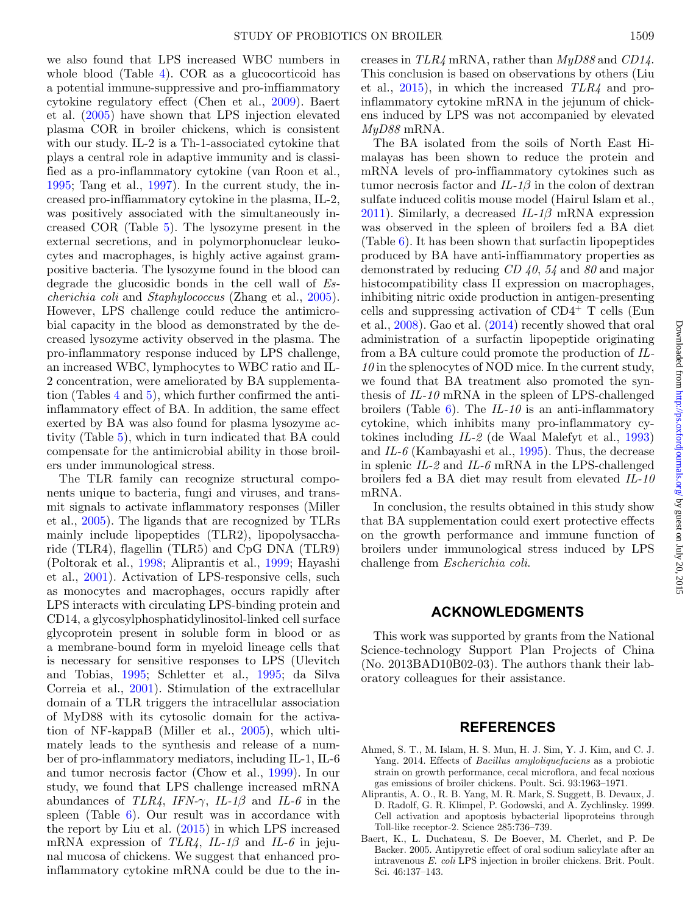we also found that LPS increased WBC numbers in whole blood (Table [4\)](#page-3-2). COR as a glucocorticoid has a potential immune-suppressive and pro-inffiammatory cytokine regulatory effect (Chen et al., [2009\)](#page-6-28). Baert et al. [\(2005\)](#page-5-1) have shown that LPS injection elevated plasma COR in broiler chickens, which is consistent with our study. IL-2 is a Th-1-associated cytokine that plays a central role in adaptive immunity and is classified as a pro-inflammatory cytokine (van Roon et al., [1995;](#page-6-29) Tang et al., [1997\)](#page-6-30). In the current study, the increased pro-inffiammatory cytokine in the plasma, IL-2, was positively associated with the simultaneously increased COR (Table [5\)](#page-4-0). The lysozyme present in the external secretions, and in polymorphonuclear leukocytes and macrophages, is highly active against grampositive bacteria. The lysozyme found in the blood can degrade the glucosidic bonds in the cell wall of *Escherichia coli* and *Staphylococcus* (Zhang et al., [2005\)](#page-7-6). However, LPS challenge could reduce the antimicrobial capacity in the blood as demonstrated by the decreased lysozyme activity observed in the plasma. The pro-inflammatory response induced by LPS challenge, an increased WBC, lymphocytes to WBC ratio and IL-2 concentration, were ameliorated by BA supplementation (Tables [4](#page-3-2) and [5\)](#page-4-0), which further confirmed the antiinflammatory effect of BA. In addition, the same effect exerted by BA was also found for plasma lysozyme activity (Table [5\)](#page-4-0), which in turn indicated that BA could compensate for the antimicrobial ability in those broilers under immunological stress.

The TLR family can recognize structural components unique to bacteria, fungi and viruses, and transmit signals to activate inflammatory responses (Miller et al., [2005\)](#page-6-31). The ligands that are recognized by TLRs mainly include lipopeptides (TLR2), lipopolysaccharide (TLR4), flagellin (TLR5) and CpG DNA (TLR9) (Poltorak et al., [1998;](#page-6-32) Aliprantis et al., [1999;](#page-5-2) Hayashi et al., [2001\)](#page-6-33). Activation of LPS-responsive cells, such as monocytes and macrophages, occurs rapidly after LPS interacts with circulating LPS-binding protein and CD14, a glycosylphosphatidylinositol-linked cell surface glycoprotein present in soluble form in blood or as a membrane-bound form in myeloid lineage cells that is necessary for sensitive responses to LPS (Ulevitch and Tobias, [1995;](#page-6-14) Schletter et al., [1995;](#page-6-34) da Silva Correia et al., [2001\)](#page-6-35). Stimulation of the extracellular domain of a TLR triggers the intracellular association of MyD88 with its cytosolic domain for the activation of NF-kappaB (Miller et al., [2005\)](#page-6-31), which ultimately leads to the synthesis and release of a number of pro-inflammatory mediators, including IL-1, IL-6 and tumor necrosis factor (Chow et al., [1999\)](#page-6-36). In our study, we found that LPS challenge increased mRNA abundances of *TLR4*, *IFN-* $\gamma$ , *IL-1* $\beta$  and *IL-6* in the spleen (Table [6\)](#page-4-1). Our result was in accordance with the report by Liu et al. [\(2015\)](#page-6-26) in which LPS increased mRNA expression of *TLR4*, *IL-1*β and *IL-6* in jejunal mucosa of chickens. We suggest that enhanced proinflammatory cytokine mRNA could be due to the in-

creases in *TLR4* mRNA, rather than *MyD88* and *CD14*. This conclusion is based on observations by others (Liu et al., [2015\)](#page-6-26), in which the increased *TLR4* and proinflammatory cytokine mRNA in the jejunum of chickens induced by LPS was not accompanied by elevated *MyD88* mRNA.

The BA isolated from the soils of North East Himalayas has been shown to reduce the protein and mRNA levels of pro-inffiammatory cytokines such as tumor necrosis factor and *IL-1*β in the colon of dextran sulfate induced colitis mouse model (Hairul Islam et al., [2011\)](#page-6-10). Similarly, a decreased *IL-1*β mRNA expression was observed in the spleen of broilers fed a BA diet  $(Table 6)$  $(Table 6)$ . It has been shown that surfactin lipopeptides produced by BA have anti-inffiammatory properties as demonstrated by reducing *CD 40*, *54* and *80* and major histocompatibility class II expression on macrophages, inhibiting nitric oxide production in antigen-presenting cells and suppressing activation of CD4<sup>+</sup> T cells (Eun et al., [2008\)](#page-6-11). Gao et al. [\(2014\)](#page-6-13) recently showed that oral administration of a surfactin lipopeptide originating from a BA culture could promote the production of *IL-10* in the splenocytes of NOD mice. In the current study, we found that BA treatment also promoted the synthesis of *IL-10* mRNA in the spleen of LPS-challenged broilers (Table [6\)](#page-4-1). The *IL-10* is an anti-inflammatory cytokine, which inhibits many pro-inflammatory cytokines including *IL-2* (de Waal Malefyt et al., [1993\)](#page-6-37) and *IL-6* (Kambayashi et al., [1995\)](#page-6-38). Thus, the decrease in splenic *IL-2* and *IL-6* mRNA in the LPS-challenged broilers fed a BA diet may result from elevated *IL-10* mRNA.

In conclusion, the results obtained in this study show that BA supplementation could exert protective effects on the growth performance and immune function of broilers under immunological stress induced by LPS challenge from *Escherichia coli*.

#### **ACKNOWLEDGMENTS**

This work was supported by grants from the National Science-technology Support Plan Projects of China (No. 2013BAD10B02-03). The authors thank their laboratory colleagues for their assistance.

## **REFERENCES**

- <span id="page-5-0"></span>Ahmed, S. T., M. Islam, H. S. Mun, H. J. Sim, Y. J. Kim, and C. J. Yang. 2014. Effects of *Bacillus amyloliquefaciens* as a probiotic strain on growth performance, cecal microflora, and fecal noxious gas emissions of broiler chickens. Poult. Sci. 93:1963–1971.
- <span id="page-5-2"></span>Aliprantis, A. O., R. B. Yang, M. R. Mark, S. Suggett, B. Devaux, J. D. Radolf, G. R. Klimpel, P. Godowski, and A. Zychlinsky. 1999. Cell activation and apoptosis bybacterial lipoproteins through Toll-like receptor-2. Science 285:736–739.
- <span id="page-5-1"></span>Baert, K., L. Duchateau, S. De Boever, M. Cherlet, and P. De Backer. 2005. Antipyretic effect of oral sodium salicylate after an intravenous *E. coli* LPS injection in broiler chickens. Brit. Poult. Sci. 46:137–143.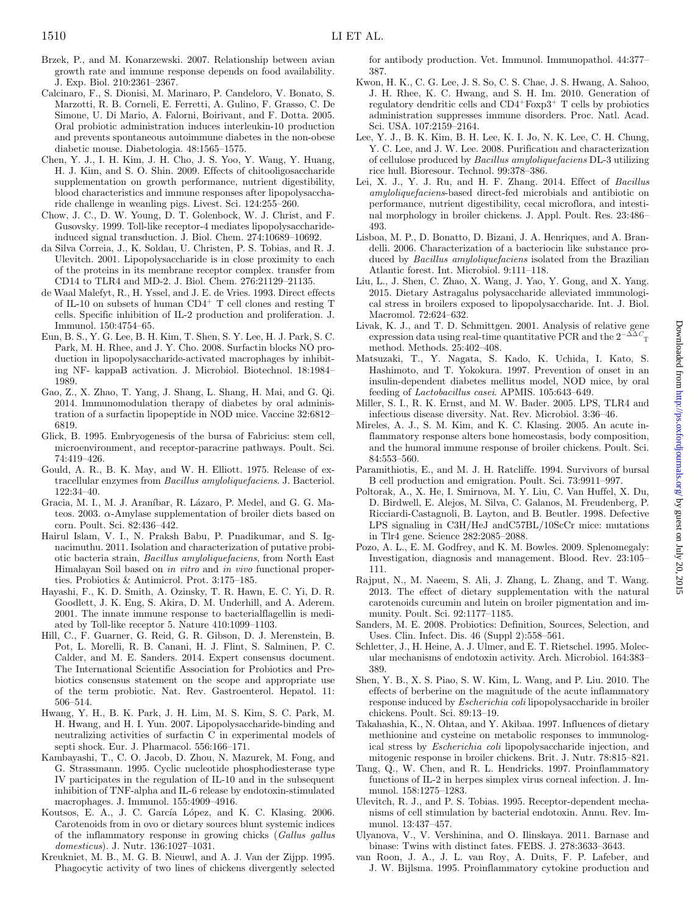- <span id="page-6-22"></span>Brzek, P., and M. Konarzewski. 2007. Relationship between avian growth rate and immune response depends on food availability. J. Exp. Biol. 210:2361–2367.
- <span id="page-6-3"></span>Calcinaro, F., S. Dionisi, M. Marinaro, P. Candeloro, V. Bonato, S. Marzotti, R. B. Corneli, E. Ferretti, A. Gulino, F. Grasso, C. De Simone, U. Di Mario, A. Falorni, Boirivant, and F. Dotta. 2005. Oral probiotic administration induces interleukin-10 production and prevents spontaneous autoimmune diabetes in the non-obese diabetic mouse. Diabetologia. 48:1565–1575.
- <span id="page-6-28"></span>Chen, Y. J., I. H. Kim, J. H. Cho, J. S. Yoo, Y. Wang, Y. Huang, H. J. Kim, and S. O. Shin. 2009. Effects of chitooligosaccharide supplementation on growth performance, nutrient digestibility, blood characteristics and immune responses after lipopolysaccharide challenge in weanling pigs. Livest. Sci. 124:255–260.
- <span id="page-6-36"></span>Chow, J. C., D. W. Young, D. T. Golenbock, W. J. Christ, and F. Gusovsky. 1999. Toll-like receptor-4 mediates lipopolysaccharideinduced signal transduction. J. Biol. Chem. 274:10689–10692.
- <span id="page-6-35"></span>da Silva Correia, J., K. Soldau, U. Christen, P. S. Tobias, and R. J. Ulevitch. 2001. Lipopolysaccharide is in close proximity to each of the proteins in its membrane receptor complex. transfer from CD14 to TLR4 and MD-2. J. Biol. Chem. 276:21129–21135.
- <span id="page-6-37"></span>de Waal Malefyt, R., H. Yssel, and J. E. de Vries. 1993. Direct effects of IL-10 on subsets of human CD4+ T cell clones and resting T cells. Specific inhibition of IL-2 production and proliferation. J. Immunol. 150:4754–65.
- <span id="page-6-11"></span>Eun, B. S., Y. G. Lee, B. H. Kim, T. Shen, S. Y. Lee, H. J. Park, S. C. Park, M. H. Rhee, and J. Y. Cho. 2008. Surfactin blocks NO production in lipopolysaccharide-activated macrophages by inhibiting NF- kappaB activation. J. Microbiol. Biotechnol. 18:1984– 1989.
- <span id="page-6-13"></span>Gao, Z., X. Zhao, T. Yang, J. Shang, L. Shang, H. Mai, and G. Qi. 2014. Immunomodulation therapy of diabetes by oral administration of a surfactin lipopeptide in NOD mice. Vaccine 32:6812– 6819.
- <span id="page-6-24"></span>Glick, B. 1995. Embryogenesis of the bursa of Fabricius: stem cell, microenvironment, and receptor-paracrine pathways. Poult. Sci. 74:419–426.
- <span id="page-6-5"></span>Gould, A. R., B. K. May, and W. H. Elliott. 1975. Release of extracellular enzymes from *Bacillus amyloliquefaciens*. J. Bacteriol. 122:34–40.
- <span id="page-6-6"></span>Gracia, M. I., M. J. Araníbar, R. Lázaro, P. Medel, and G. G. Mateos. 2003.  $\alpha$ -Amylase supplementation of broiler diets based on corn. Poult. Sci. 82:436–442.
- <span id="page-6-10"></span>Hairul Islam, V. I., N. Praksh Babu, P. Pnadikumar, and S. Ignacimuthu. 2011. Isolation and characterization of putative probiotic bacteria strain, *Bacillus amyloliquefaciens*, from North East Himalayan Soil based on *in vitro* and *in vivo* functional properties. Probiotics & Antimicrol. Prot. 3:175–185.
- <span id="page-6-33"></span>Hayashi, F., K. D. Smith, A. Ozinsky, T. R. Hawn, E. C. Yi, D. R. Goodlett, J. K. Eng, S. Akira, D. M. Underhill, and A. Aderem. 2001. The innate immune response to bacterialflagellin is mediated by Toll-like receptor 5. Nature 410:1099–1103.
- <span id="page-6-1"></span>Hill, C., F. Guarner, G. Reid, G. R. Gibson, D. J. Merenstein, B. Pot, L. Morelli, R. B. Canani, H. J. Flint, S. Salminen, P. C. Calder, and M. E. Sanders. 2014. Expert consensus document. The International Scientific Association for Probiotics and Prebiotics consensus statement on the scope and appropriate use of the term probiotic. Nat. Rev. Gastroenterol. Hepatol. 11: 506–514.
- <span id="page-6-12"></span>Hwang, Y. H., B. K. Park, J. H. Lim, M. S. Kim, S. C. Park, M. H. Hwang, and H. I. Yun. 2007. Lipopolysaccharide-binding and neutralizing activities of surfactin C in experimental models of septi shock. Eur. J. Pharmacol. 556:166–171.
- <span id="page-6-38"></span>Kambayashi, T., C. O. Jacob, D. Zhou, N. Mazurek, M. Fong, and G. Strassmann. 1995. Cyclic nucleotide phosphodiesterase type IV participates in the regulation of IL-10 and in the subsequent inhibition of TNF-alpha and IL-6 release by endotoxin-stimulated macrophages. J. Immunol. 155:4909–4916.
- <span id="page-6-27"></span>Koutsos, E. A., J. C. García López, and K. C. Klasing. 2006. Carotenoids from in ovo or dietary sources blunt systemic indices of the inflammatory response in growing chicks (*Gallus gallus domesticus*). J. Nutr. 136:1027–1031.
- <span id="page-6-19"></span>Kreukniet, M. B., M. G. B. Nieuwl, and A. J. Van der Zijpp. 1995. Phagocytic activity of two lines of chickens divergently selected

for antibody production. Vet. Immunol. Immunopathol. 44:377– 387.

- <span id="page-6-4"></span>Kwon, H. K., C. G. Lee, J. S. So, C. S. Chae, J. S. Hwang, A. Sahoo, J. H. Rhee, K. C. Hwang, and S. H. Im. 2010. Generation of regulatory dendritic cells and  $CD4+F\alpha p3+T$  cells by probiotics administration suppresses immune disorders. Proc. Natl. Acad. Sci. USA. 107:2159–2164.
- <span id="page-6-7"></span>Lee, Y. J., B. K. Kim, B. H. Lee, K. I. Jo, N. K. Lee, C. H. Chung, Y. C. Lee, and J. W. Lee. 2008. Purification and characterization of cellulose produced by *Bacillus amyloliquefaciens* DL-3 utilizing rice hull. Bioresour. Technol. 99:378–386.
- <span id="page-6-17"></span>Lei, X. J., Y. J. Ru, and H. F. Zhang. 2014. Effect of *Bacillus amyloliquefaciens*-based direct-fed microbials and antibiotic on performance, nutrient digestibility, cecal microflora, and intestinal morphology in broiler chickens. J. Appl. Poult. Res. 23:486– 493.
- <span id="page-6-8"></span>Lisboa, M. P., D. Bonatto, D. Bizani, J. A. Henriques, and A. Brandelli. 2006. Characterization of a bacteriocin like substance produced by *Bacillus amyloliquefaciens* isolated from the Brazilian Atlantic forest. Int. Microbiol. 9:111–118.
- <span id="page-6-26"></span>Liu, L., J. Shen, C. Zhao, X. Wang, J. Yao, Y. Gong, and X. Yang. 2015. Dietary Astragalus polysaccharide alleviated immunological stress in broilers exposed to lipopolysaccharide. Int. J. Biol. Macromol. 72:624–632.
- <span id="page-6-20"></span>Livak, K. J., and T. D. Schmittgen. 2001. Analysis of relative gene expression data using real-time quantitative PCR and the  $2^{-\Delta\Delta}C_T$ method. Methods. 25:402–408.
- <span id="page-6-2"></span>Matsuzaki, T., Y. Nagata, S. Kado, K. Uchida, I. Kato, S. Hashimoto, and T. Yokokura. 1997. Prevention of onset in an insulin-dependent diabetes mellitus model, NOD mice, by oral feeding of *Lactobacillus casei*. APMIS. 105:643–649.
- <span id="page-6-31"></span>Miller, S. I., R. K. Ernst, and M. W. Bader. 2005. LPS, TLR4 and infectious disease diversity. Nat. Rev. Microbiol. 3:36–46.
- <span id="page-6-16"></span>Mireles, A. J., S. M. Kim, and K. C. Klasing. 2005. An acute inflammatory response alters bone homeostasis, body composition, and the humoral immune response of broiler chickens. Poult. Sci. 84:553–560.
- <span id="page-6-23"></span>Paramithiotis, E., and M. J. H. Ratcliffe. 1994. Survivors of bursal B cell production and emigration. Poult. Sci. 73:9911–997.
- <span id="page-6-32"></span>Poltorak, A., X. He, I. Smirnova, M. Y. Liu, C. Van Huffel, X. Du, D. Birdwell, E. Alejos, M. Silva, C. Galanos, M. Freudenberg, P. Ricciardi-Castagnoli, B. Layton, and B. Beutler. 1998. Defective LPS signaling in C3H/HeJ andC57BL/10ScCr mice: mutations in Tlr4 gene. Science 282:2085–2088.
- <span id="page-6-25"></span>Pozo, A. L., E. M. Godfrey, and K. M. Bowles. 2009. Splenomegaly: Investigation, diagnosis and management. Blood. Rev. 23:105– 111.
- <span id="page-6-18"></span>Rajput, N., M. Naeem, S. Ali, J. Zhang, L. Zhang, and T. Wang. 2013. The effect of dietary supplementation with the natural carotenoids curcumin and lutein on broiler pigmentation and immunity. Poult. Sci. 92:1177–1185.
- <span id="page-6-0"></span>Sanders, M. E. 2008. Probiotics: Definition, Sources, Selection, and Uses. Clin. Infect. Dis. 46 (Suppl 2):558–561.
- <span id="page-6-34"></span>Schletter, J., H. Heine, A. J. Ulmer, and E. T. Rietschel. 1995. Molecular mechanisms of endotoxin activity. Arch. Microbiol. 164:383– 389.
- <span id="page-6-21"></span>Shen, Y. B., X. S. Piao, S. W. Kim, L. Wang, and P. Liu. 2010. The effects of berberine on the magnitude of the acute inflammatory response induced by *Escherichia coli* lipopolysaccharide in broiler chickens. Poult. Sci. 89:13–19.
- <span id="page-6-15"></span>Takahashia, K., N. Ohtaa, and Y. Akibaa. 1997. Influences of dietary methionine and cysteine on metabolic responses to immunological stress by *Escherichia coli* lipopolysaccharide injection, and mitogenic response in broiler chickens. Brit. J. Nutr. 78:815–821.
- <span id="page-6-30"></span>Tang, Q., W. Chen, and R. L. Hendricks. 1997. Proinflammatory functions of IL-2 in herpes simplex virus corneal infection. J. Immunol. 158:1275–1283.
- <span id="page-6-14"></span>Ulevitch, R. J., and P. S. Tobias. 1995. Receptor-dependent mechanisms of cell stimulation by bacterial endotoxin. Annu. Rev. Immunol. 13:437–457.
- <span id="page-6-9"></span>Ulyanova, V., V. Vershinina, and O. Ilinskaya. 2011. Barnase and binase: Twins with distinct fates. FEBS. J. 278:3633–3643.
- <span id="page-6-29"></span>van Roon, J. A., J. L. van Roy, A. Duits, F. P. Lafeber, and J. W. Bijlsma. 1995. Proinflammatory cytokine production and